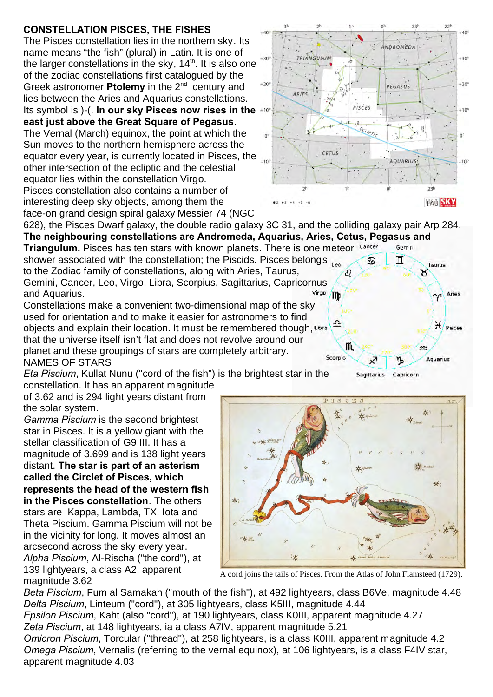## **CONSTELLATION PISCES, THE FISHES**

The Pisces constellation lies in the northern sky. Its name means "the fish" (plural) in Latin. It is one of the larger constellations in the sky,  $14<sup>th</sup>$ . It is also one of the zodiac constellations first catalogued by the Greek astronomer **Ptolemy** in the 2<sup>nd</sup> century and lies between the Aries and Aquarius constellations. Its symbol is )-(. **In our sky Pisces now rises in the east just above the Great Square of Pegasus**. The Vernal (March) equinox, the point at which the Sun moves to the northern hemisphere across the equator every year, is currently located in Pisces, the other intersection of the ecliptic and the celestial

equator lies within the constellation Virgo. Pisces constellation also contains a number of interesting deep sky objects, among them the face-on grand design spiral galaxy Messier 74 (NGC



Taurus ୪

Aries

H Pisces

Aquarius

Capricorn

628), the Pisces Dwarf galaxy, the double radio galaxy 3C 31, and the colliding galaxy pair Arp 284. **The neighbouring constellations are Andromeda, Aquarius, Aries, Cetus, Pegasus and**

**Triangulum.** Pisces has ten stars with known planets. There is one meteor Cancer Gemini shower associated with the constellation; the Piscids. Pisces belongs  $\mathcal{L}_{\infty}$ ♋ п to the Zodiac family of constellations, along with Aries, Taurus, Gemini, Cancer, Leo, Virgo, Libra, Scorpius, Sagittarius, Capricornus<br>and Aquarius. and Aquarius.

Constellations make a convenient two-dimensional map of the sky used for orientation and to make it easier for astronomers to find objects and explain their location. It must be remembered though, that the universe itself isn't flat and does not revolve around our planet and these groupings of stars are completely arbitrary. Scorpio NAMES OF STARS

*Eta Piscium*, Kullat Nunu ("cord of the fish") is the brightest star in the constellation. It has an apparent magnitude

of 3.62 and is 294 light years distant from the solar system.

*Gamma Piscium* is the second brightest star in Pisces. It is a yellow giant with the stellar classification of G9 III. It has a magnitude of 3.699 and is 138 light years distant. **The star is part of an asterism called the Circlet of Pisces, which represents the head of the western fish in the Pisces constellation**. The others stars are Kappa, Lambda, TX, Iota and Theta Piscium. Gamma Piscium will not be in the vicinity for long. It moves almost an arcsecond across the sky every year. *Alpha Piscium*, Al-Rischa ("the cord"), at 139 lightyears, a class A2, apparent magnitude 3.62



m

Sagittarius

A cord joins the tails of Pisces. From the Atlas of John Flamsteed (1729).

*Beta Piscium*, Fum al Samakah ("mouth of the fish"), at 492 lightyears, class B6Ve, magnitude 4.48 *Delta Piscium*, Linteum ("cord"), at 305 lightyears, class K5III, magnitude 4.44

*Epsilon Piscium*, Kaht (also "cord"), at 190 lightyears, class K0III, apparent magnitude 4.27 *Zeta Piscium*, at 148 lightyears, ia a class A7IV, apparent magnitude 5.21

*Omicron Piscium*, Torcular ("thread"), at 258 lightyears, is a class K0III, apparent magnitude 4.2 *Omega Piscium*, Vernalis (referring to the vernal equinox), at 106 lightyears, is a class F4IV star, apparent magnitude 4.03